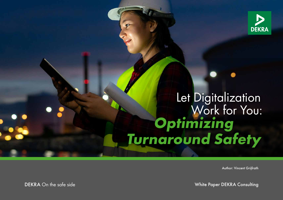

# **Optimizing Turnaround Safety** Let Digitalization<br>Work for You:

Author: Vincent Grijfrath

DEKRA On the safe side White Paper DEKRA Consulting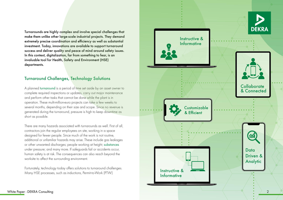Turnarounds are highly complex and involve special challenges that make them unlike other large-scale industrial projects. They demand extremely precise coordination and efficiency as well as substantial investment. Today, innovations are available to support turnaround success and deliver quality and peace of mind around safety issues. In this context, digitalization, far from something to fear, is an invaluable tool for Health, Safety and Environment (HSE) departments.

# Turnaround Challenges, Technology Solutions

A planned [turnaround](https://www.dekra.com/en/turnaround-safety/) is a period of time set aside by an asset owner to complete required inspections or updates, carry out major maintenance and perform other tasks that cannot be done while the plant is in operation. These multi-million-euro projects can take a few weeks to several months, depending on their size and scope. Since no revenue is generated during the turnaround, pressure is high to keep downtime as short as possible.

There are many hazards associated with turnarounds as well. First of all, contractors join the regular employees on site, working in a space designed for fewer people. Since much of the work is not routine, additional or unfamiliar hazards may arise. These include gas leakages or other unwanted discharges; people working at height; [substances](https://www.dekra.com/en/hazardous-substances-management/ ) under pressure; and many more. If safeguards fail or accidents occur, human safety is at risk. The consequences can also reach beyond the worksite to affect the surrounding environment.

Fortunately, technology today offers solutions to turnaround challenges. Many HSE processes, such as inductions, Permit-to-Work (PTW)

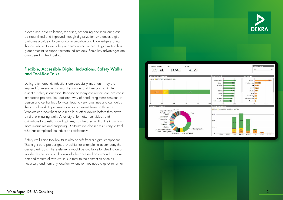procedures, data collection, reporting, scheduling and monitoring can be streamlined and improved through digitalization. Moreover, digital platforms provide a forum for communication and knowledge sharing that contributes to site safety and turnaround success. Digitalization has great potential to support turnaround projects. Some key advantages are considered in detail below.

#### Flexible, Accessible Digital Inductions, Safety Walks and Tool-Box Talks

During a turnaround, inductions are especially important. They are required for every person working on site, and they communicate essential safety information. Because so many contractors are involved in turnaround projects, the traditional way of conducting these sessions—in person at a central location—can lead to very long lines and can delay the start of work. Digitalized inductions prevent these bottlenecks. Workers can view them on a mobile or other device before they arrive on site, eliminating waits. A variety of formats, from videos and animations to questions and quizzes, can be used so that the induction is more interactive and engaging. Digitalization also makes it easy to track who has completed the induction satisfactorily.

Safety walks and tool-box talks also benefit from a digital component. This might be a pre-designed checklist, for example, to accompany the designated topic. These elements would be available for viewing on a mobile device and could potentially be accessed on demand. The ondemand feature allows workers to refer to the content as often as necessary and from any location, whenever they need a quick refresher.

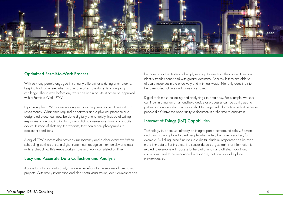

#### Optimized Permit-to-Work Process

With so many people engaged in so many different tasks during a turnaround, keeping track of where, when and what workers are doing is an ongoing challenge. That is why, before any work can begin on site, it has to be approved with a Permit-to-Work (PTW).

Digitalizing the PTW process not only reduces long lines and wait times, it also saves money. What once required paperwork and a physical presence at a designated place, can now be done digitally and remotely. Instead of writing responses on an application form, users click to answer questions on a mobile device. Instead of sketching the worksite, they can submit photographs to document conditions.

A digital PTW process also provides transparency and a clear overview. When scheduling conflicts arise, a digital system can recognize them quickly and assist with rescheduling. This keeps workers safe and work completed on time.

#### Easy and Accurate Data Collection and Analysis

Access to data and data analysis is quite beneficial to the success of turnaround projects. With timely information and clear data visualization, decision-makers can

be more proactive. Instead of simply reacting to events as they occur, they can identify trends sooner and with greater accuracy. As a result, they are able to allocate resources more effectively and with less waste. Not only does the site become safer, but time and money are saved.

Digital tools make collecting and analyzing site data easy. For example, workers can input information on a hand-held device or processes can be configured to gather and analyze data automatically. No longer will information be lost because people didn't have the opportunity to document it or the time to analyze it.

### Internet of Things (IoT) Capabilities

Technology is, of course, already an integral part of turnaround safety. Sensors and alarms are in place to alert people when safety limits are breached, for example. By linking these functions to a digital platform, responses can be even more immediate. For instance, if a sensor detects a gas leak, that information is related to everyone with access to the platform, on and off site. If additional instructions need to be announced in response, that can also take place instantaneously.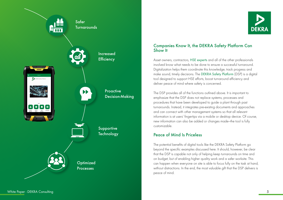



#### Companies Know It, the DEKRA Safety Platform Can Show It

Asset owners, contractors, [HSE experts](https://www.dekra.com/en/safety-expert-on-site/ ) and all of the other professionals involved know what needs to be done to ensure a successful turnaround. Digitalization helps them coordinate this knowledge, track progress and make sound, timely decisions. The [DEKRA Safety Platform](https://www.dekra.com/en/dekra-safety-platform/) (DSP) is a digital tool designed to support HSE efforts, boost turnaround efficiency and deliver peace of mind where safety is concerned.

The DSP provides all of the functions outlined above. It is important to emphasize that the DSP does not replace systems, processes and procedures that have been developed to guide a plant through past turnarounds. Instead, it integrates pre-existing documents and approaches and can connect with other management systems so that all relevant information is at users' fingertips via a mobile or desktop device. Of course, new information can also be added or changes made—the tool is fully customizable.

# Peace of Mind Is Priceless

The potential benefits of digital tools like the DEKRA Safety Platform go beyond the specific examples discussed here. It should, however, be clear that the DSP is capable not only of helping keep turnarounds on time and on budget, but of enabling higher quality work and a safer worksite. This can happen when everyone on site is able to focus fully on the task at hand, without distractions. In the end, the most valuable gift that the DSP delivers is peace of mind.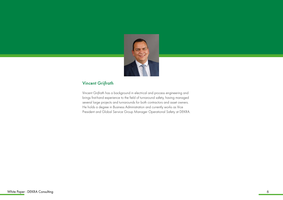

# Vincent Grijfrath

Vincent Grijfrath has a background in electrical and process engineering and brings first-hand experience to the field of turnaround safety, having managed several large projects and turnarounds for both contractors and asset owners. He holds a degree in Business Administration and currently works as Vice President and Global Service Group Manager Operational Safety at DEKRA.